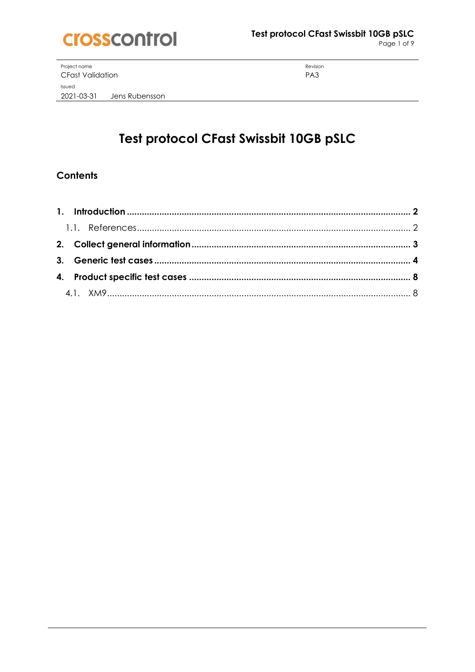

Page 1 of 9

Project name **CFast Validation** Issued 2021-03-31 Jens Rubensson

Revision PA3

# Test protocol CFast Swissbit 10GB pSLC

## **Contents**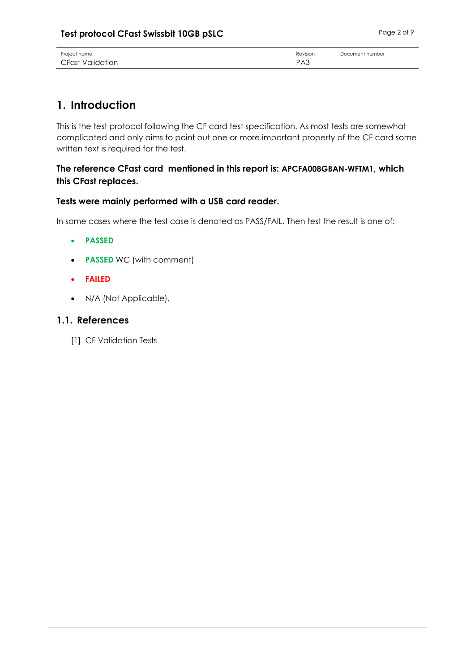| Project name     | Revision        | Document number |
|------------------|-----------------|-----------------|
| CFast Validation | PA <sub>3</sub> |                 |

## <span id="page-1-0"></span>**1. Introduction**

This is the test protocol following the CF card test specification. As most tests are somewhat complicated and only aims to point out one or more important property of the CF card some written text is required for the test.

#### **The reference CFast card mentioned in this report is: APCFA008GBAN-WFTM1, which this CFast replaces.**

#### **Tests were mainly performed with a USB card reader.**

In some cases where the test case is denoted as PASS/FAIL. Then test the result is one of:

- **PASSED**
- **PASSED** WC (with comment)
- **FAILED**
- N/A (Not Applicable).

#### <span id="page-1-1"></span>**1.1. References**

[1] CF Validation Tests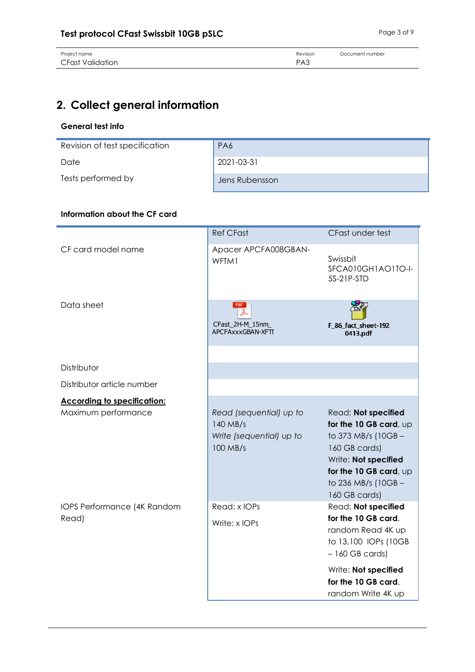# <span id="page-2-0"></span>**2. Collect general information**

#### **General test info**

| Revision of test specification | PA6            |
|--------------------------------|----------------|
|                                |                |
| Date                           | 2021-03-31     |
|                                |                |
| Tests performed by             | Jens Rubensson |

#### **Information about the CF card**

|                                    | <b>Ref CFast</b>                                                            | CFast under test                                                                                                                                                                |
|------------------------------------|-----------------------------------------------------------------------------|---------------------------------------------------------------------------------------------------------------------------------------------------------------------------------|
| CF card model name                 | Apacer APCFA008GBAN-<br>WFTM1                                               | Swissbit<br>SFCA010GH1AO1TO-I-<br>5S-21P-STD                                                                                                                                    |
| Data sheet                         | <b>PDF</b><br>CFast_2H-M_15nm_<br>APCFAxxxGBAN-XFTI                         | F_86_fact_sheet-192<br>0413.pdf                                                                                                                                                 |
| Distributor                        |                                                                             |                                                                                                                                                                                 |
| Distributor article number         |                                                                             |                                                                                                                                                                                 |
| <b>According to specification:</b> |                                                                             |                                                                                                                                                                                 |
| Maximum performance                | Read (sequential) up to<br>140 MB/s<br>Write (sequential) up to<br>100 MB/s | Read: Not specified<br>for the 10 GB card, up<br>to 373 MB/s (10GB -<br>160 GB cards)<br>Write: Not specified<br>for the 10 GB card, up<br>to 236 MB/s (10GB -<br>160 GB cards) |
| IOPS Performance (4K Random        | Read: x IOPs                                                                | Read: Not specified                                                                                                                                                             |
| Read)                              | Write: x IOPs                                                               | for the 10 GB card,<br>random Read 4K up<br>to 13,100 IOPs (10GB<br>$-160$ GB cards)                                                                                            |
|                                    |                                                                             | Write: Not specified<br>for the 10 GB card,<br>random Write 4K up                                                                                                               |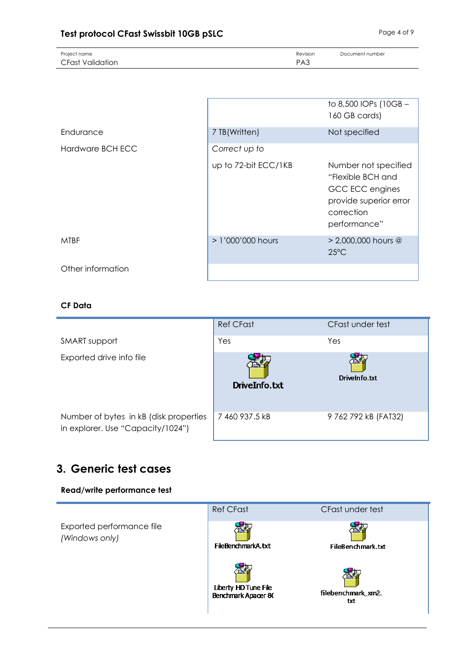| Project name            | Revision | Document number |
|-------------------------|----------|-----------------|
| <b>CFast Validation</b> | PA3      |                 |

|                   |                      | to 8,500 IOPs (10GB -<br>160 GB cards)                                                                               |
|-------------------|----------------------|----------------------------------------------------------------------------------------------------------------------|
| Endurance         | 7 TB(Written)        | Not specified                                                                                                        |
| Hardware BCH ECC  | Correct up to        |                                                                                                                      |
|                   | up to 72-bit ECC/1KB | Number not specified<br>"Flexible BCH and<br>GCC ECC engines<br>provide superior error<br>correction<br>performance" |
| <b>MTBF</b>       | $> 1'000'000$ hours  | $> 2,000,000$ hours @<br>$25^{\circ}$ C                                                                              |
| Other information |                      |                                                                                                                      |

#### **CF Data**

|                                                                             | <b>Ref CFast</b> | CFast under test     |
|-----------------------------------------------------------------------------|------------------|----------------------|
| SMART support                                                               | Yes              | Yes                  |
| Exported drive info file                                                    | DriveInfo.txt    | DriveInfo.txt        |
| Number of bytes in kB (disk properties<br>in explorer. Use "Capacity/1024") | 7460 937.5 kB    | 9 762 792 kB (FAT32) |

## <span id="page-3-0"></span>**3. Generic test cases**

#### **Read/write performance test**

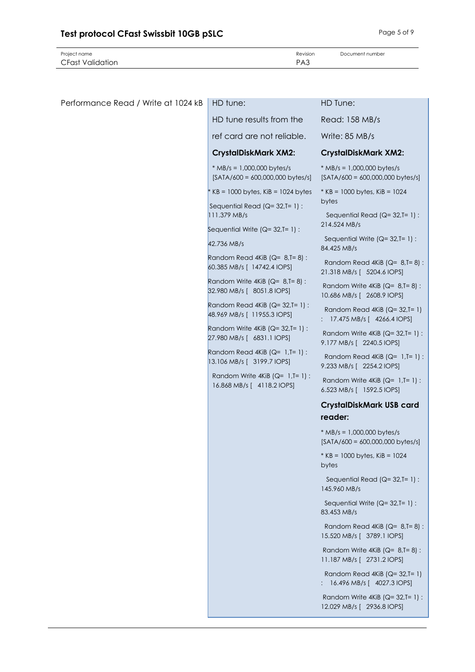Project name **Document number** Revision **Document number** Revision **Document number** 

| Performance Read / Write at 1024 kB | HD tune:                                                              | HD Tune:                                                                   |
|-------------------------------------|-----------------------------------------------------------------------|----------------------------------------------------------------------------|
|                                     | HD tune results from the                                              | Read: 158 MB/s                                                             |
|                                     | ref card are not reliable.                                            | Write: 85 MB/s                                                             |
|                                     | <b>CrystalDiskMark XM2:</b>                                           | <b>CrystalDiskMark XM2:</b>                                                |
|                                     | $*$ MB/s = 1,000,000 bytes/s<br>$[SATA/600 = 600,000,000$ bytes/s]    | $*$ MB/s = 1,000,000 bytes/s<br>$[SATA/600 = 600,000,000$ bytes/s]         |
|                                     | $*$ KB = 1000 bytes, KiB = 1024 bytes                                 | * $KB = 1000$ bytes, $KiB = 1024$<br>bytes                                 |
|                                     | Sequential Read ( $Q = 32$ , T= 1) :<br>111.379 MB/s                  | Sequential Read (Q= 32,T= 1) :                                             |
|                                     | Sequential Write $(Q=32, T=1)$ :                                      | 214.524 MB/s                                                               |
|                                     | 42.736 MB/s                                                           | Sequential Write $(Q=32, T=1)$ :<br>84.425 MB/s                            |
|                                     | Random Read 4KiB ( $Q = 8$ , T= 8) :<br>60.385 MB/s [ 14742.4 IOPS]   | Random Read 4KiB ( $Q = 8$ , T=8) :<br>21.318 MB/s [ 5204.6 IOPS]          |
|                                     | Random Write $4KiB$ ( $Q=8$ , $T=8$ ):<br>32.980 MB/s [ 8051.8 IOPS]  | Random Write $4KiB$ ( $Q = 8$ , $T = 8$ ) :<br>10.686 MB/s [ 2608.9 IOPS]  |
|                                     | Random Read 4KiB ( $Q = 32$ , T= 1) :<br>48.969 MB/s [ 11955.3 IOPS]  | Random Read 4KiB $(Q=32, T=1)$<br>: 17.475 MB/s [ 4266.4 IOPS]             |
|                                     | Random Write 4KiB ( $Q = 32$ , T= 1) :<br>27.980 MB/s [ 6831.1 IOPS]  | Random Write $4KiB$ ( $Q=32$ , $I=1$ ) :<br>9.177 MB/s [ 2240.5 IOPS]      |
|                                     | Random Read 4KiB ( $Q = 1$ , T= 1) :<br>13.106 MB/s [ 3199.7 IOPS]    | Random Read $4KiB$ ( $Q=1$ , $T=1$ ) :<br>9.233 MB/s [ 2254.2 IOPS]        |
|                                     | Random Write $4KiB$ ( $Q=1$ , $T=1$ ) :<br>16.868 MB/s [ 4118.2 IOPS] | Random Write $4KiB$ ( $Q=1$ , $I=1$ ) :<br>6.523 MB/s [ 1592.5 IOPS]       |
|                                     |                                                                       | <b>CrystalDiskMark USB card</b><br>reader:                                 |
|                                     |                                                                       | $*$ MB/s = 1,000,000 bytes/s<br>$[SATA/600 = 600,000,000$ bytes/s]         |
|                                     |                                                                       | * KB = 1000 bytes, KiB = 1024<br>bytes                                     |
|                                     |                                                                       | Sequential Read $(Q=32, T=1)$ :<br>145.960 MB/s                            |
|                                     |                                                                       | Sequential Write $(Q=32, T=1)$ :<br>83.453 MB/s                            |
|                                     |                                                                       | Random Read 4KiB ( $Q = 8$ , T= 8):<br>15.520 MB/s [ 3789.1 IOPS]          |
|                                     |                                                                       | Random Write $4KiB$ ( $Q = 8$ , $T = 8$ ) :<br>11.187 MB/s [ 2731.2 IOPS]  |
|                                     |                                                                       | Random Read 4KiB $(Q=32, T=1)$<br>: 16.496 MB/s [ 4027.3 IOPS]             |
|                                     |                                                                       | Random Write $4KiB$ ( $Q = 32$ , $I = 1$ ) :<br>12.029 MB/s [ 2936.8 IOPS] |
|                                     |                                                                       |                                                                            |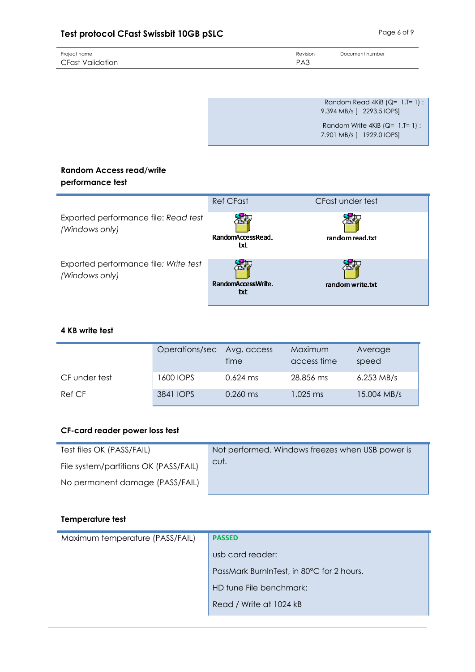## **Test protocol CFast Swissbit 10GB pSLC** Page 6 of 9

| Project name     | Revision        | Document number |
|------------------|-----------------|-----------------|
| CFast Validation | PA <sub>3</sub> |                 |
|                  |                 |                 |

Random Read  $4KiB$  (Q= 1,T=1) : 9.394 MB/s [ 2293.5 IOPS] Random Write  $4KiB$  ( $Q= 1$ ,  $T= 1$ ) :

7.901 MB/s [ 1929.0 IOPS]

#### **Random Access read/write performance test**

|                                                         | <b>Ref CFast</b>          | CFast under test |
|---------------------------------------------------------|---------------------------|------------------|
| Exported performance file: Read test<br>(Windows only)  | RandomAccessRead.<br>txt  | random read.txt  |
| Exported performance file: Write test<br>(Windows only) | RandomAccessWrite.<br>txt | random write.txt |

#### **4 KB write test**

|               | Operations/sec Avg. access | time       | Maximum<br>access time | Average<br>speed |
|---------------|----------------------------|------------|------------------------|------------------|
| CF under test | 1600 IOPS                  | $0.624$ ms | 28.856 ms              | $6.253$ MB/s     |
| Ref CF        | 3841 IOPS                  | $0.260$ ms | 1.025 ms               | 15.004 MB/s      |

#### **CF-card reader power loss test**

| Test files OK (PASS/FAIL)             | Not performed. Windows freezes when USB power is |
|---------------------------------------|--------------------------------------------------|
| File system/partitions OK (PASS/FAIL) | cut.                                             |
| No permanent damage (PASS/FAIL)       |                                                  |

#### **Temperature test**

| Maximum temperature (PASS/FAIL) | <b>PASSED</b>                             |
|---------------------------------|-------------------------------------------|
|                                 | usb card reader:                          |
|                                 | PassMark BurnInTest, in 80°C for 2 hours. |
|                                 | HD tune File benchmark:                   |
|                                 | Read / Write at 1024 kB                   |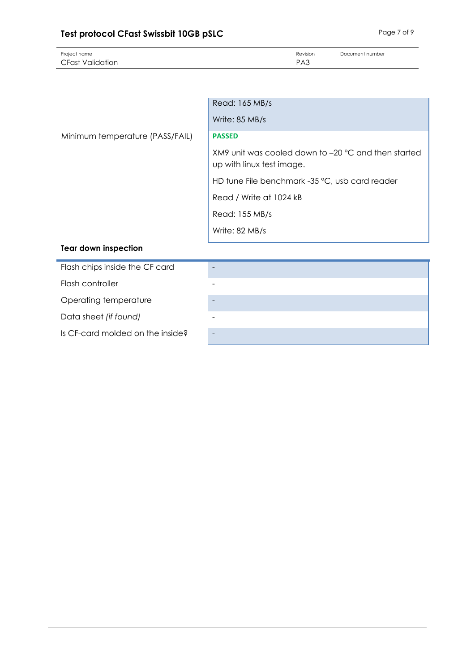## **Test protocol CFast Swissbit 10GB pSLC** Page 7 of 9

| Project name     | Revision        | Document number |
|------------------|-----------------|-----------------|
| CFast Validation | PA <sub>3</sub> |                 |

|                                 | Read: 165 MB/s                                                                   |
|---------------------------------|----------------------------------------------------------------------------------|
|                                 | Write: 85 MB/s                                                                   |
| Minimum temperature (PASS/FAIL) | <b>PASSED</b>                                                                    |
|                                 | XM9 unit was cooled down to -20 °C and then started<br>up with linux test image. |
|                                 | HD tune File benchmark -35 °C, usb card reader                                   |
|                                 | Read / Write at 1024 kB                                                          |
|                                 | Read: 155 MB/s                                                                   |
|                                 | Write: 82 MB/s                                                                   |
| <b>Tear down inspection</b>     |                                                                                  |
| Flash chips inside the CF card  |                                                                                  |

Flash controller

Operating temperature

Data sheet *(if found)* 

Is CF-card molded on the inside?

| - |
|---|
|   |
|   |
|   |
|   |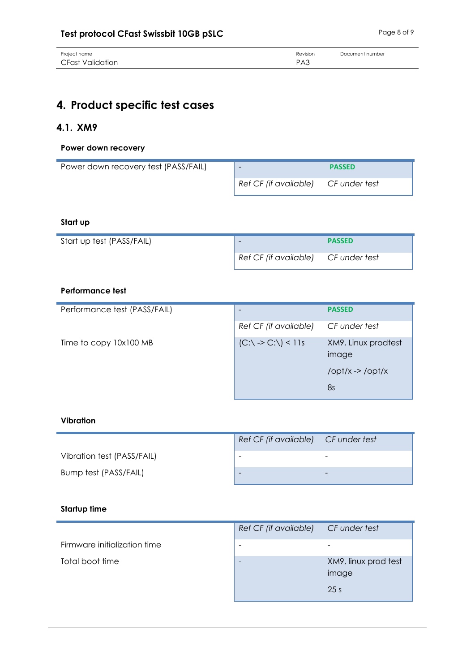| Project name            | Revision        | Document number |
|-------------------------|-----------------|-----------------|
| <b>CFast Validation</b> | PA <sub>3</sub> |                 |

## <span id="page-7-0"></span>**4. Product specific test cases**

### <span id="page-7-1"></span>**4.1. XM9**

#### **Power down recovery**

| Power down recovery test (PASS/FAIL) |                                     | <b>PASSED</b> |
|--------------------------------------|-------------------------------------|---------------|
|                                      | Ref CF (if available) CF under test |               |

#### **Start up**

| Start up test (PASS/FAIL) | -                                   | <b>PASSED</b> |
|---------------------------|-------------------------------------|---------------|
|                           | Ref CF (if available) CF under test |               |

#### **Performance test**

| Performance test (PASS/FAIL) |                                           | <b>PASSED</b>                   |
|------------------------------|-------------------------------------------|---------------------------------|
|                              | Ref CF (if available)                     | CF under test                   |
| Time to copy 10x100 MB       | $(C:\rangle \rightarrow C:\rangle) < 11s$ | XM9, Linux prodtest<br>image    |
|                              |                                           | $\frac{\mathrm{J}}{\mathrm{V}}$ |
|                              |                                           | 8s                              |

#### **Vibration**

|                            | Ref CF (if available) CF under test |  |
|----------------------------|-------------------------------------|--|
| Vibration test (PASS/FAIL) |                                     |  |
| Bump test (PASS/FAIL)      |                                     |  |

#### **Startup time**

|                              | Ref CF (if available) CF under test |                                                  |
|------------------------------|-------------------------------------|--------------------------------------------------|
| Firmware initialization time | -                                   |                                                  |
| Total boot time              | $\overline{\phantom{0}}$            | XM9, linux prod test<br>image<br>25 <sub>s</sub> |
|                              |                                     |                                                  |